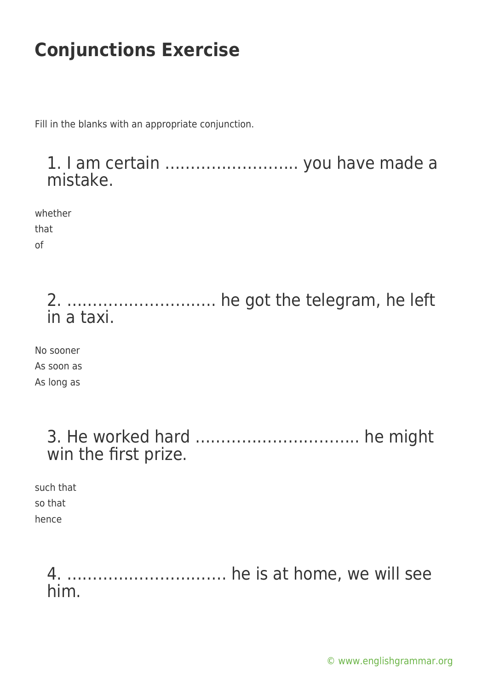Fill in the blanks with an appropriate conjunction.

### 1. I am certain …………………….. you have made a mistake.

whether that of

> 2. ……………………….. he got the telegram, he left in a taxi.

No sooner As soon as As long as

| win the first prize. |  |
|----------------------|--|

such that so that hence

> 4. …………………………. he is at home, we will see him.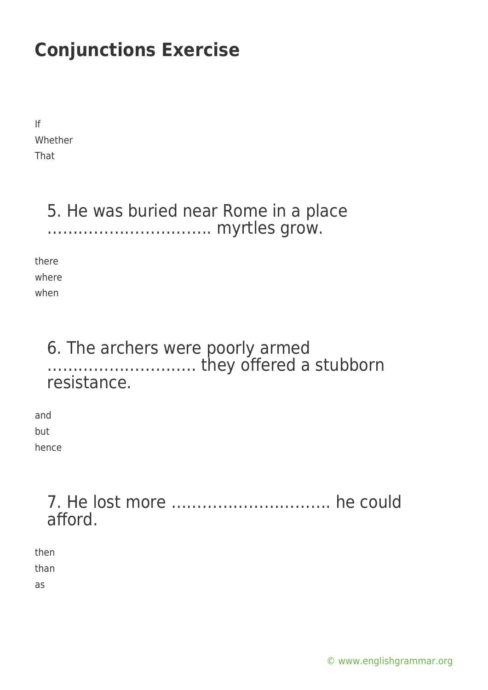If Whether That

### 5. He was buried near Rome in a place ………………………….. myrtles grow.

there where when

### 6. The archers were poorly armed ……………………….. they offered a stubborn resistance.

and but hence

### 7. He lost more …………………………. he could afford.

then than as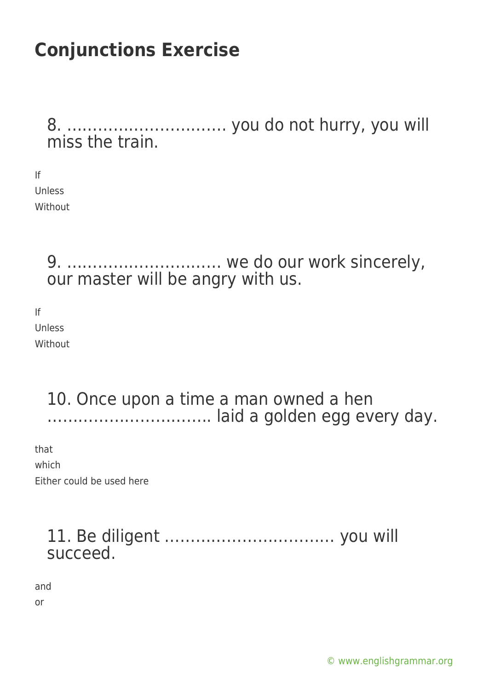8. …………………………. you do not hurry, you will miss the train.

If Unless Without

> 9. ………………………… we do our work sincerely, our master will be angry with us.

If Unless Without

> 10. Once upon a time a man owned a hen ………………………….. laid a golden egg every day.

that which Either could be used here

### 11. Be diligent …………………………… you will succeed.

and or